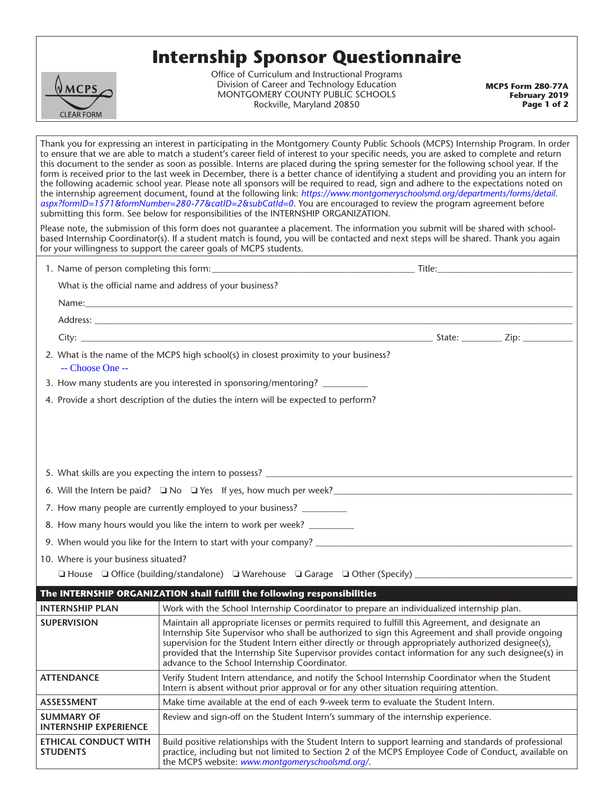## **Internship Sponsor Questionnaire**



**ETHICAL CONDUCT WITH** 

**STUDENTS**

Office of Curriculum and Instructional Programs Division of Career and Technology Education MONTGOMERY COUNTY PUBLIC SCHOOLS Rockville, Maryland 20850

**MCPS Form 280-77A February 2019 Page 1 of 2**

Thank you for expressing an interest in participating in the Montgomery County Public Schools (MCPS) Internship Program. In order to ensure that we are able to match a student's career field of interest to your specific needs, you are asked to complete and return this document to the sender as soon as possible. Interns are placed during the spring semester for the following school year. If the form is received prior to the last week in December, there is a better chance of identifying a student and providing you an intern for the following academic school year. Please note all sponsors will be required to read, sign and adhere to the expectations noted on the internship agreement document, found at the following link: *[https://www.montgomeryschoolsmd.org/departments/forms/detail.](https://www.montgomeryschoolsmd.org/departments/forms/detail.aspx?formID=1571&formNumber=280-77&catID=2&subCatId=0) [aspx?formID=1571&formNumber=280-77&catID=2&subCatId=0](https://www.montgomeryschoolsmd.org/departments/forms/detail.aspx?formID=1571&formNumber=280-77&catID=2&subCatId=0)*. You are encouraged to review the program agreement before submitting this form. See below for responsibilities of the INTERNSHIP ORGANIZATION. Please note, the submission of this form does not guarantee a placement. The information you submit will be shared with schoolbased Internship Coordinator(s). If a student match is found, you will be contacted and next steps will be shared. Thank you again for your willingness to support the career goals of MCPS students. 11. Name of person completing this form:\_\_\_\_\_\_\_\_\_\_\_\_\_\_\_\_\_\_\_\_\_\_\_\_\_\_\_\_\_\_\_\_\_\_\_\_\_\_\_\_\_\_\_\_\_ Title:\_\_\_\_\_\_\_\_\_\_\_\_\_\_\_\_\_\_\_\_\_\_\_\_\_\_\_\_\_\_ What is the official name and address of your business? Name:\_\_\_\_\_\_\_\_\_\_\_\_\_\_\_\_\_\_\_\_\_\_\_\_\_\_\_\_\_\_\_\_\_\_\_\_\_\_\_\_\_\_\_\_\_\_\_\_\_\_\_\_\_\_\_\_\_\_\_\_\_\_\_\_\_\_\_\_\_\_\_\_\_\_\_\_\_\_\_\_\_\_\_\_\_\_\_\_\_\_\_\_\_\_\_\_\_\_\_\_\_\_\_\_\_\_\_\_ Address: \_\_\_\_\_\_\_\_\_\_\_\_\_\_\_\_\_\_\_\_\_\_\_\_\_\_\_\_\_\_\_\_\_\_\_\_\_\_\_\_\_\_\_\_\_\_\_\_\_\_\_\_\_\_\_\_\_\_\_\_\_\_\_\_\_\_\_\_\_\_\_\_\_\_\_\_\_\_\_\_\_\_\_\_\_\_\_\_\_\_\_\_\_\_\_\_\_\_\_\_\_\_\_\_\_\_ City: \_\_\_\_\_\_\_\_\_\_\_\_\_\_\_\_\_\_\_\_\_\_\_\_\_\_\_\_\_\_\_\_\_\_\_\_\_\_\_\_\_\_\_\_\_\_\_\_\_\_\_\_\_\_\_\_\_\_\_\_\_\_\_\_\_\_\_\_\_\_\_\_\_\_\_\_\_\_ State: \_\_\_\_\_\_\_\_\_ Zip: \_\_\_\_\_\_\_\_\_\_\_ 2. What is the name of the MCPS high school(s) in closest proximity to your business? 3. How many students are you interested in sponsoring/mentoring? 14. Provide a short description of the duties the intern will be expected to perform? 5. What skills are you expecting the intern to possess? \_\_\_\_\_\_\_\_\_\_\_\_\_\_\_\_\_\_\_\_\_\_\_\_ 6. Will the Intern be paid?  $\square$  No  $\square$  Yes If yes, how much per week? 7. How many people are currently employed to your business? \_\_\_\_\_\_\_\_\_\_\_\_\_\_\_\_\_\_\_\_ 8. How many hours would you like the intern to work per week? \_\_\_\_\_\_\_\_\_\_\_\_\_\_\_\_\_\_ 9. When would you like for the Intern to start with your company? 10. Where is your business situated?  $\Box$  House  $\Box$  Office (building/standalone)  $\Box$  Warehouse  $\Box$  Garage  $\Box$  Other (Specify)  $\Box$ **The INTERNSHIP ORGANIZATION shall fulfill the following responsibilities INTERNSHIP PLAN** Work with the School Internship Coordinator to prepare an individualized internship plan. **SUPERVISION** Maintain all appropriate licenses or permits required to fulfill this Agreement, and designate an Internship Site Supervisor who shall be authorized to sign this Agreement and shall provide ongoing supervision for the Student Intern either directly or through appropriately authorized designee(s), provided that the Internship Site Supervisor provides contact information for any such designee(s) in advance to the School Internship Coordinator. **ATTENDANCE** Verify Student Intern attendance, and notify the School Internship Coordinator when the Student Intern is absent without prior approval or for any other situation requiring attention. **ASSESSMENT** Make time available at the end of each 9-week term to evaluate the Student Intern. **SUMMARY OF INTERNSHIP EXPERIENCE**  Review and sign-off on the Student Intern's summary of the internship experience. -- Choose One --

> Build positive relationships with the Student Intern to support learning and standards of professional practice, including but not limited to Section 2 of the MCPS Employee Code of Conduct, available on

the MCPS website: *<www.montgomeryschoolsmd.org/>*.